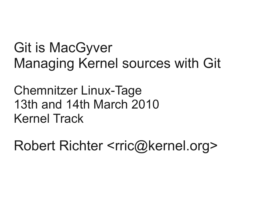Git is MacGyver Managing Kernel sources with Git

Chemnitzer Linux-Tage 13th and 14th March 2010 Kernel Track

Robert Richter <rric@kernel.org>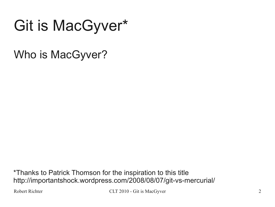# Git is MacGyver\*

Who is MacGyver?

\*Thanks to Patrick Thomson for the inspiration to this title http://importantshock.wordpress.com/2008/08/07/git-vs-mercurial/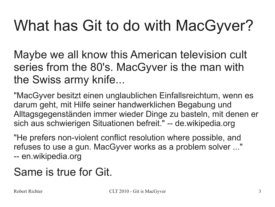# What has Git to do with MacGyver?

Maybe we all know this American television cult series from the 80's. MacGyver is the man with the Swiss army knife...

"MacGyver besitzt einen unglaublichen Einfallsreichtum, wenn es darum geht, mit Hilfe seiner handwerklichen Begabung und Alltagsgegenständen immer wieder Dinge zu basteln, mit denen er sich aus schwierigen Situationen befreit." -- de.wikipedia.org

"He prefers non-violent conflict resolution where possible, and refuses to use a gun. MacGyver works as a problem solver ..." -- en.wikipedia.org

## Same is true for Git.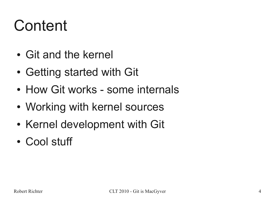# Content

- Git and the kernel
- Getting started with Git
- How Git works some internals
- Working with kernel sources
- Kernel development with Git
- Cool stuff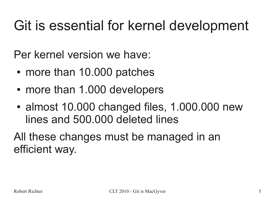## Git is essential for kernel development

Per kernel version we have:

- more than 10.000 patches
- more than 1.000 developers
- almost 10.000 changed files, 1.000.000 new lines and 500.000 deleted lines

All these changes must be managed in an efficient way.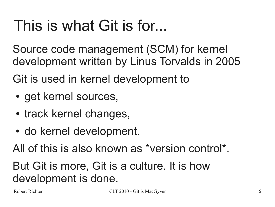# This is what Git is for...

Source code management (SCM) for kernel development written by Linus Torvalds in 2005

Git is used in kernel development to

- get kernel sources,
- track kernel changes,
- do kernel development.

All of this is also known as \*version control\*.

## But Git is more, Git is a culture. It is how development is done.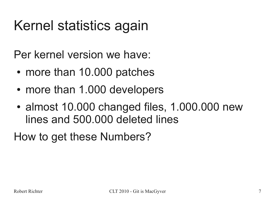## Kernel statistics again

Per kernel version we have:

- more than 10.000 patches
- more than 1.000 developers
- almost 10.000 changed files, 1.000.000 new lines and 500.000 deleted lines

How to get these Numbers?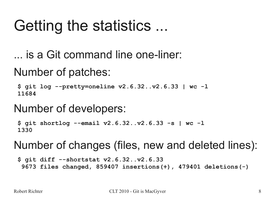# Getting the statistics ...

... is a Git command line one-liner:

Number of patches:

**\$ git log --pretty=oneline v2.6.32..v2.6.33 | wc -l 11684**

### Number of developers:

**\$ git shortlog --email v2.6.32..v2.6.33 -s | wc -l 1330**

### Number of changes (files, new and deleted lines):

**\$ git diff --shortstat v2.6.32..v2.6.33 9673 files changed, 859407 insertions(+), 479401 deletions(-)**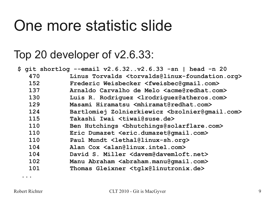## One more statistic slide

### Top 20 developer of v2.6.33:

|     | \$ git shortlog --email v2.6.32v2.6.33 -sn   head -n 20                        |
|-----|--------------------------------------------------------------------------------|
| 470 | Linus Torvalds <torvalds@linux-foundation.org></torvalds@linux-foundation.org> |
| 152 | Frederic Weisbecker <fweisbec@gmail.com></fweisbec@gmail.com>                  |
| 137 | Arnaldo Carvalho de Melo <acme@redhat.com></acme@redhat.com>                   |
| 130 | Luis R. Rodriquez <lrodriquez@atheros.com></lrodriquez@atheros.com>            |
| 129 | Masami Hiramatsu <mhiramat@redhat.com></mhiramat@redhat.com>                   |
| 124 |                                                                                |
| 115 | Takashi Iwai <tiwai@suse.de></tiwai@suse.de>                                   |
| 110 | Ben Hutchings<br>bhutchings@solarflare.com>                                    |
| 110 | Eric Dumazet <eric.dumazet@gmail.com></eric.dumazet@gmail.com>                 |
| 110 | Paul Mundt <lethal@linux-sh.org></lethal@linux-sh.org>                         |
| 104 | Alan Cox <alan@linux.intel.com></alan@linux.intel.com>                         |
| 104 | David S. Miller <davem@davemloft.net></davem@davemloft.net>                    |
| 102 | Manu Abraham <abraham.manu@gmail.com></abraham.manu@gmail.com>                 |
| 101 | Thomas Gleixner <tglx@linutronix.de></tglx@linutronix.de>                      |
|     |                                                                                |

 **...**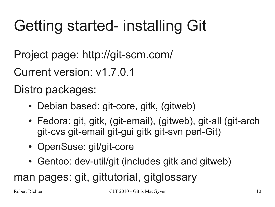# Getting started- installing Git

Project page: http://git-scm.com/

Current version: v1.7.0.1

Distro packages:

- Debian based: git-core, gitk, (gitweb)
- Fedora: git, gitk, (git-email), (gitweb), git-all (git-arch git-cvs git-email git-gui gitk git-svn perl-Git)
- OpenSuse: git/git-core
- Gentoo: dev-util/git (includes gitk and gitweb)

## man pages: git, gittutorial, gitglossary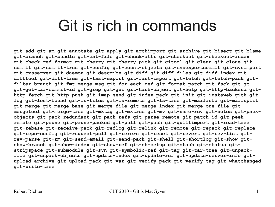## Git is rich in commands

**git-add git-am git-annotate git-apply git-archimport git-archive git-bisect git-blame git-branch git-bundle git-cat-file git-check-attr git-checkout git-checkout-index git-check-ref-format git-cherry git-cherry-pick git-citool git-clean git-clone gitcommit git-commit-tree git-config git-count-objects git-cvsexportcommit git-cvsimport git-cvsserver git-daemon git-describe git-diff git-diff-files git-diff-index gitdifftool git-diff-tree git-fast-export git-fast-import git-fetch git-fetch-pack gitfilter-branch git-fmt-merge-msg git-for-each-ref git-format-patch git-fsck git-gc git-get-tar-commit-id git-grep git-gui git-hash-object git-help git-http-backend githttp-fetch git-http-push git-imap-send git-index-pack git-init git-instaweb gitk gitlog git-lost-found git-ls-files git-ls-remote git-ls-tree git-mailinfo git-mailsplit git-merge git-merge-base git-merge-file git-merge-index git-merge-one-file gitmergetool git-merge-tree git-mktag git-mktree git-mv git-name-rev git-notes git-packobjects git-pack-redundant git-pack-refs git-parse-remote git-patch-id git-peekremote git-prune git-prune-packed git-pull git-push git-quiltimport git-read-tree git-rebase git-receive-pack git-reflog git-relink git-remote git-repack git-replace git-repo-config git-request-pull git-rerere git-reset git-revert git-rev-list gitrev-parse git-rm git-send-email git-send-pack git-shell git-shortlog git-show gitshow-branch git-show-index git-show-ref git-sh-setup git-stash git-status gitstripspace git-submodule git-svn git-symbolic-ref git-tag git-tar-tree git-unpackfile git-unpack-objects git-update-index git-update-ref git-update-server-info gitupload-archive git-upload-pack git-var git-verify-pack git-verify-tag git-whatchanged git-write-tree**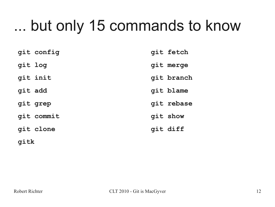# ... but only 15 commands to know

|         | git config | git fetch  |
|---------|------------|------------|
| git log |            | git merge  |
|         | qit init   | git branch |
| qit add |            | git blame  |
|         | git grep   | git rebase |
|         | git commit | git show   |
|         | git clone  | git diff   |
|         |            |            |

**gitk**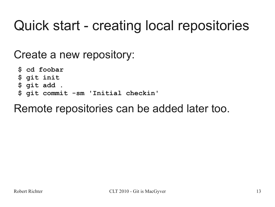## Quick start - creating local repositories

Create a new repository:

**\$ cd foobar \$ git init \$ git add . \$ git commit -sm 'Initial checkin'**

### Remote repositories can be added later too.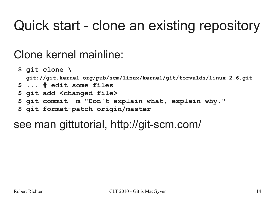## Quick start - clone an existing repository

## Clone kernel mainline:

**\$ git clone \ git://git.kernel.org/pub/scm/linux/kernel/git/torvalds/linux-2.6.git \$ ... # edit some files \$ git add <changed file> \$ git commit -m "Don't explain what, explain why." \$ git format-patch origin/master**

## see man gittutorial, http://git-scm.com/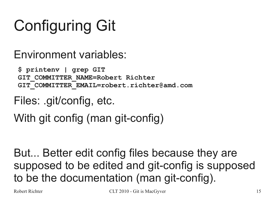# Configuring Git

Environment variables:

**\$ printenv | grep GIT GIT\_COMMITTER\_NAME=Robert Richter GIT\_COMMITTER\_EMAIL=robert.richter@amd.com**

Files: .git/config, etc.

With git config (man git-config)

But... Better edit config files because they are supposed to be edited and git-config is supposed to be the documentation (man git-config).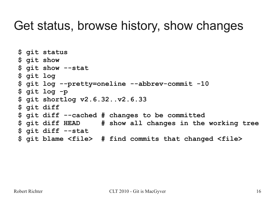## Get status, browse history, show changes

**\$ git status \$ git show \$ git show --stat \$ git log \$ git log --pretty=oneline --abbrev-commit -10 \$ git log -p \$ git shortlog v2.6.32..v2.6.33 \$ git diff \$ git diff --cached # changes to be committed \$ git diff HEAD # show all changes in the working tree \$ git diff --stat \$ git blame <file> # find commits that changed <file>**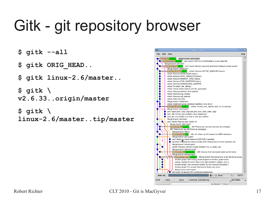# Gitk - git repository browser

- **\$ gitk --all**
- **\$ gitk ORIG\_HEAD..**
- **\$ gitk linux-2.6/master..**
- **\$ gitk \ v2.6.33..origin/master**
- **\$ gitk \**
- **linux-2.6/master..tip/master**

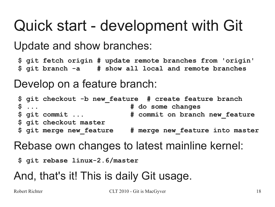# Quick start - development with Git

Update and show branches:

**\$ git fetch origin # update remote branches from 'origin' \$ git branch -a # show all local and remote branches**

Develop on a feature branch:

|                          | \$ git checkout -b new feature # create feature branch |
|--------------------------|--------------------------------------------------------|
| $\mathsf{S}$             | # do some changes                                      |
| \$ git commit            | # commit on branch new feature                         |
| \$ git checkout master   |                                                        |
| \$ git merge new feature | # merge new feature into master                        |

Rebase own changes to latest mainline kernel:

**\$ git rebase linux-2.6/master**

## And, that's it! This is daily Git usage.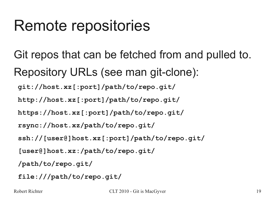# Remote repositories

- Git repos that can be fetched from and pulled to. Repository URLs (see man git-clone):
	- **git://host.xz[:port]/path/to/repo.git/**
	- **http://host.xz[:port]/path/to/repo.git/**
	- **https://host.xz[:port]/path/to/repo.git/**
	- **rsync://host.xz/path/to/repo.git/**
	- **ssh://[user@]host.xz[:port]/path/to/repo.git/**
	- **[user@]host.xz:/path/to/repo.git/**
	- **/path/to/repo.git/**
	- **file:///path/to/repo.git/**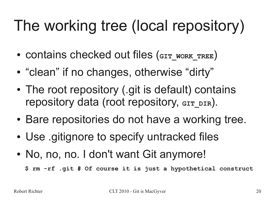# The working tree (local repository)

- contains checked out files (GIT WORK TREE)
- "clean" if no changes, otherwise "dirty"
- The root repository (.git is default) contains repository data (root repository, GIT DIR).
- Bare repositories do not have a working tree.
- Use .gitignore to specify untracked files
- No, no, no. I don't want Git anymore!

 **\$ rm -rf .git # Of course it is just a hypothetical construct**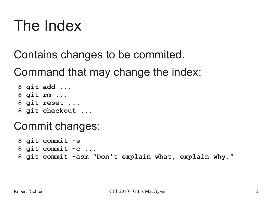# The Index

Contains changes to be commited.

Command that may change the index:

**\$ git add ... \$ git rm ... \$ git reset ... \$ git checkout ...**

### Commit changes:

**\$ git commit -s \$ git commit -c ... \$ git commit -asm "Don't explain what, explain why."**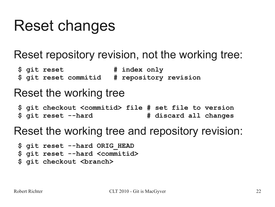# Reset changes

## Reset repository revision, not the working tree:

**\$ git reset # index only \$ git reset commitid # repository revision**

### Reset the working tree

**\$ git checkout <commitid> file # set file to version \$ git reset --hard # discard all changes**

### Reset the working tree and repository revision:

```
$ git reset --hard ORIG_HEAD
 $ git reset --hard <commitid>
 $ git checkout <branch>
```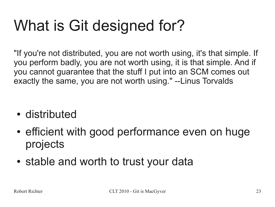# What is Git designed for?

"If you're not distributed, you are not worth using, it's that simple. If you perform badly, you are not worth using, it is that simple. And if you cannot guarantee that the stuff I put into an SCM comes out exactly the same, you are not worth using." --Linus Torvalds

- distributed
- efficient with good performance even on huge projects
- stable and worth to trust your data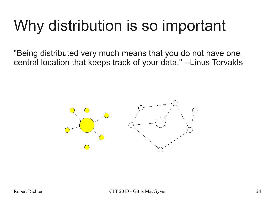# Why distribution is so important

"Being distributed very much means that you do not have one central location that keeps track of your data." --Linus Torvalds

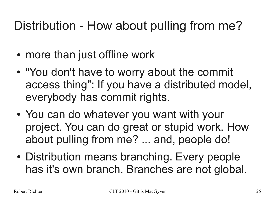## Distribution - How about pulling from me?

- more than just offline work
- "You don't have to worry about the commit access thing": If you have a distributed model, everybody has commit rights.
- You can do whatever you want with your project. You can do great or stupid work. How about pulling from me? ... and, people do!
- Distribution means branching. Every people has it's own branch. Branches are not global.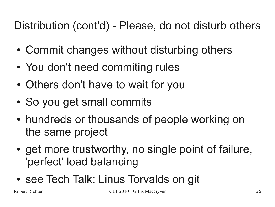## Distribution (cont'd) - Please, do not disturb others

- Commit changes without disturbing others
- You don't need commiting rules
- Others don't have to wait for you
- So you get small commits
- hundreds or thousands of people working on the same project
- get more trustworthy, no single point of failure, 'perfect' load balancing
- see Tech Talk: Linus Torvalds on git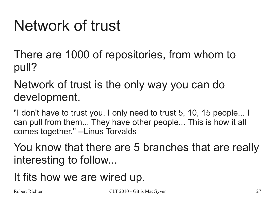# Network of trust

There are 1000 of repositories, from whom to pull?

### Network of trust is the only way you can do development.

"I don't have to trust you. I only need to trust 5, 10, 15 people... I can pull from them... They have other people... This is how it all comes together." --Linus Torvalds

You know that there are 5 branches that are really interesting to follow...

## It fits how we are wired up.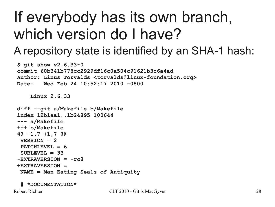# If everybody has its own branch, which version do I have?

## A repository state is identified by an SHA-1 hash:

```
$ git show v2.6.33~0
 commit 60b341b778cc2929df16c0a504c91621b3c6a4ad
 Author: Linus Torvalds <torvalds@linux-foundation.org>
 Date: Wed Feb 24 10:52:17 2010 -0800
     Linux 2.6.33
 diff --git a/Makefile b/Makefile
 index 12b1aa1..1b24895 100644
 --- a/Makefile
 +++ b/Makefile
 @@ -1,7 +1,7 @@
VERSION = 2 PATCHLEVEL = 6
  SUBLEVEL = 33
 -EXTRAVERSION = -rc8
 +EXTRAVERSION =
  NAME = Man-Eating Seals of Antiquity
```
 **# \*DOCUMENTATION\***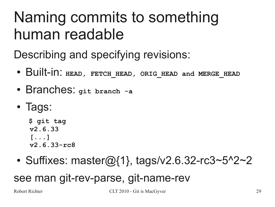# Naming commits to something human readable

Describing and specifying revisions:

- Built-in: **HEAD, FETCH\_HEAD, ORIG\_HEAD and MERGE\_HEAD**
- Branches: **git branch -a**
- Tags:

**\$ git tag v2.6.33 [...] v2.6.33-rc8**

• Suffixes: master $@{1}$ , tags/v2.6.32-rc3~5^2~2

see man git-rev-parse, git-name-rev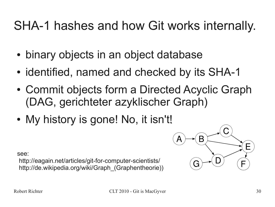## SHA-1 hashes and how Git works internally.

- binary objects in an object database
- identified, named and checked by its SHA-1
- Commit objects form a Directed Acyclic Graph (DAG, gerichteter azyklischer Graph)
- My history is gone! No, it isn't!



#### see:

http://eagain.net/articles/git-for-computer-scientists/ http://de.wikipedia.org/wiki/Graph (Graphentheorie))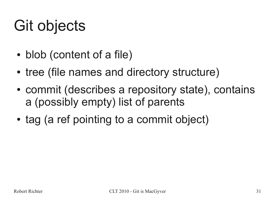# Git objects

- blob (content of a file)
- tree (file names and directory structure)
- commit (describes a repository state), contains a (possibly empty) list of parents
- tag (a ref pointing to a commit object)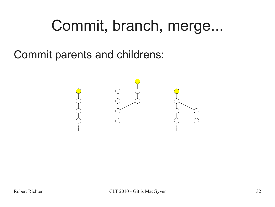## Commit, branch, merge...

Commit parents and childrens:

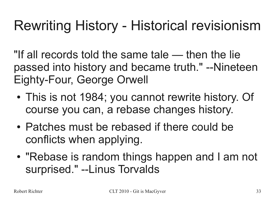## Rewriting History - Historical revisionism

"If all records told the same tale — then the lie passed into history and became truth." --Nineteen Eighty-Four, George Orwell

- This is not 1984; you cannot rewrite history. Of course you can, a rebase changes history.
- Patches must be rebased if there could be conflicts when applying.
- "Rebase is random things happen and I am not surprised." --Linus Torvalds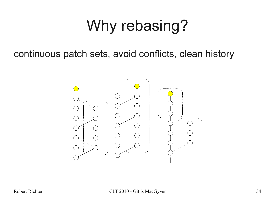# Why rebasing?

continuous patch sets, avoid conflicts, clean history

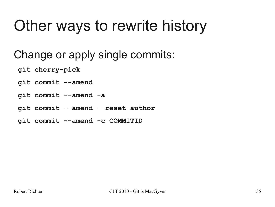# Other ways to rewrite history

## Change or apply single commits:

- **git cherry-pick**
- **git commit --amend**
- **git commit --amend -a**
- **git commit --amend --reset-author**
- **git commit --amend -c COMMITID**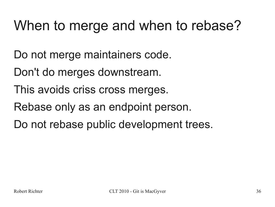## When to merge and when to rebase?

Do not merge maintainers code.

- Don't do merges downstream.
- This avoids criss cross merges.
- Rebase only as an endpoint person.
- Do not rebase public development trees.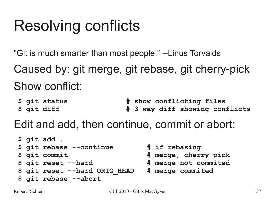# Resolving conflicts

"Git is much smarter than most people." --Linus Torvalds

Caused by: git merge, git rebase, git cherry-pick Show conflict:

**\$ git status # show conflicting files** \$ git diff  $\uparrow$  **# 3 way diff showing conflicts** 

Edit and add, then continue, commit or abort:

```
$ git add .
 $ git rebase --continue # if rebasing
 $ git commit # merge, cherry-pick
 $ git reset --hard # merge not commited
 $ git reset --hard ORIG_HEAD # merge commited
 $ git rebase --abort
```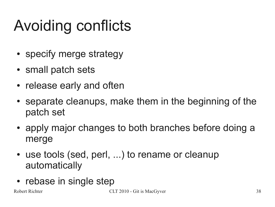# Avoiding conflicts

- specify merge strategy
- small patch sets
- release early and often
- separate cleanups, make them in the beginning of the patch set
- apply major changes to both branches before doing a merge
- use tools (sed, perl, ...) to rename or cleanup automatically
- rebase in single step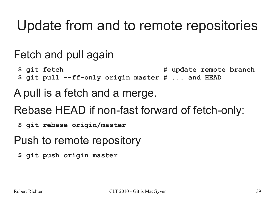## Update from and to remote repositories

## Fetch and pull again

\$ git fetch  $\uparrow$  **#** update remote branch  **\$ git pull --ff-only origin master # ... and HEAD**

## A pull is a fetch and a merge.

- Rebase HEAD if non-fast forward of fetch-only:
	- **\$ git rebase origin/master**
- Push to remote repository
	- **\$ git push origin master**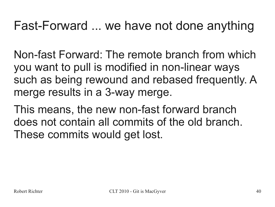## Fast-Forward ... we have not done anything

Non-fast Forward: The remote branch from which you want to pull is modified in non-linear ways such as being rewound and rebased frequently. A merge results in a 3-way merge.

This means, the new non-fast forward branch does not contain all commits of the old branch. These commits would get lost.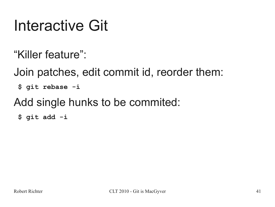# Interactive Git

"Killer feature":

Join patches, edit commit id, reorder them:

**\$ git rebase -i**

Add single hunks to be commited:

**\$ git add -i**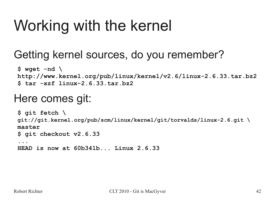# Working with the kernel

## Getting kernel sources, do you remember?

**\$ wget -nd \ http://www.kernel.org/pub/linux/kernel/v2.6/linux-2.6.33.tar.bz2 \$ tar -xzf linux-2.6.33.tar.bz2**

### Here comes git:

**\$ git fetch \ git://git.kernel.org/pub/scm/linux/kernel/git/torvalds/linux-2.6.git \ master \$ git checkout v2.6.33 ... HEAD is now at 60b341b... Linux 2.6.33**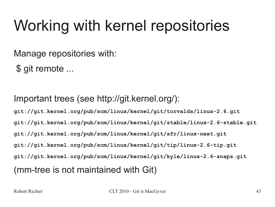# Working with kernel repositories

Manage repositories with:

\$ git remote ...

Important trees (see http://git.kernel.org/):

**git://git.kernel.org/pub/scm/linux/kernel/git/torvalds/linux-2.6.git git://git.kernel.org/pub/scm/linux/kernel/git/stable/linux-2.6-stable.git git://git.kernel.org/pub/scm/linux/kernel/git/sfr/linux-next.git git://git.kernel.org/pub/scm/linux/kernel/git/tip/linux-2.6-tip.git git://git.kernel.org/pub/scm/linux/kernel/git/kyle/linux-2.6-snaps.git** (mm-tree is not maintained with Git)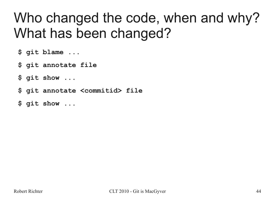## Who changed the code, when and why? What has been changed?

**\$ git blame ...**

**\$ git annotate file**

**\$ git show ...**

**\$ git annotate <commitid> file**

**\$ git show ...**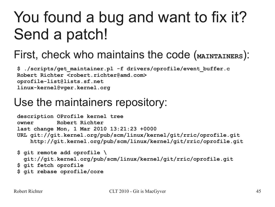# You found a bug and want to fix it? Send a patch!

## First, check who maintains the code (MAINTAINERS):

**\$ ./scripts/get\_maintainer.pl -f drivers/oprofile/event\_buffer.c Robert Richter <robert.richter@amd.com> oprofile-list@lists.sf.net linux-kernel@vger.kernel.org**

### Use the maintainers repository:

**description OProfile kernel tree owner Robert Richter last change Mon, 1 Mar 2010 13:21:23 +0000 URL git://git.kernel.org/pub/scm/linux/kernel/git/rric/oprofile.git http://git.kernel.org/pub/scm/linux/kernel/git/rric/oprofile.git**

```
$ git remote add oprofile \
   git://git.kernel.org/pub/scm/linux/kernel/git/rric/oprofile.git
 $ git fetch oprofile
```
 **\$ git rebase oprofile/core**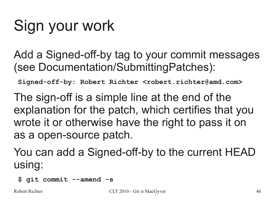# Sign your work

Add a Signed-off-by tag to your commit messages (see Documentation/SubmittingPatches):

**Signed-off-by: Robert Richter <robert.richter@amd.com>**

The sign-off is a simple line at the end of the explanation for the patch, which certifies that you wrote it or otherwise have the right to pass it on as a open-source patch.

You can add a Signed-off-by to the current HEAD using:

**\$ git commit --amend -s**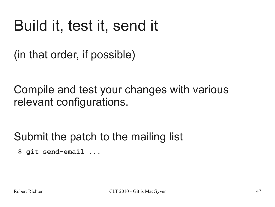# Build it, test it, send it

(in that order, if possible)

Compile and test your changes with various relevant configurations.

Submit the patch to the mailing list

**\$ git send-email ...**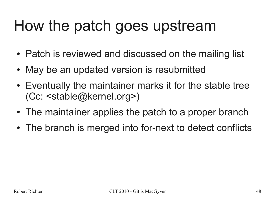# How the patch goes upstream

- Patch is reviewed and discussed on the mailing list
- May be an updated version is resubmitted
- Eventually the maintainer marks it for the stable tree (Cc: <stable@kernel.org>)
- The maintainer applies the patch to a proper branch
- The branch is merged into for-next to detect conflicts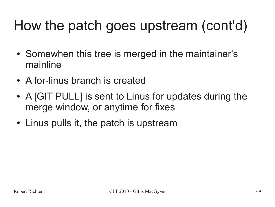## How the patch goes upstream (cont'd)

- Somewhen this tree is merged in the maintainer's mainline
- A for-linus branch is created
- A [GIT PULL] is sent to Linus for updates during the merge window, or anytime for fixes
- Linus pulls it, the patch is upstream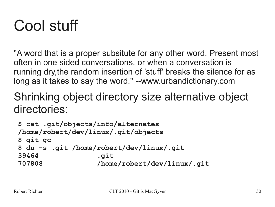# Cool stuff

"A word that is a proper subsitute for any other word. Present most often in one sided conversations, or when a conversation is running dry,the random insertion of 'stuff' breaks the silence for as long as it takes to say the word." --www.urbandictionary.com

### Shrinking object directory size alternative object directories:

```
$ cat .git/objects/info/alternates
 /home/robert/dev/linux/.git/objects
 $ git gc
 $ du -s .git /home/robert/dev/linux/.git
 39464 .git
 707808 /home/robert/dev/linux/.git
```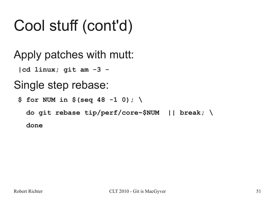# Cool stuff (cont'd)

Apply patches with mutt:

**|cd linux; git am -3 -**

## Single step rebase:

**\$ for NUM in \$(seq 48 -1 0); \**

 **do git rebase tip/perf/core~\$NUM || break; \**

 **done**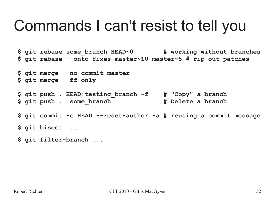## Commands I can't resist to tell you

**\$ git rebase some\_branch HEAD~0 # working without branches \$ git rebase --onto fixes master~10 master~5 # rip out patches \$ git merge --no-commit master \$ git merge --ff-only \$ git push . HEAD:testing\_branch -f # "Copy" a branch \$ git push . :some\_branch # Delete a branch \$ git commit -c HEAD --reset-author -a # reusing a commit message \$ git bisect ... \$ git filter-branch ...**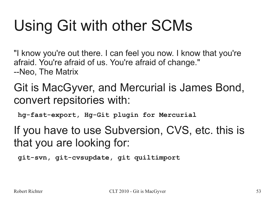# Using Git with other SCMs

"I know you're out there. I can feel you now. I know that you're afraid. You're afraid of us. You're afraid of change." --Neo, The Matrix

### Git is MacGyver, and Mercurial is James Bond, convert repsitories with:

**hg-fast-export, Hg-Git plugin for Mercurial**

### If you have to use Subversion, CVS, etc. this is that you are looking for:

**git-svn, git-cvsupdate, git quiltimport**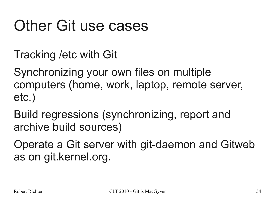# **Other Git use cases**

Tracking /etc with Git

Synchronizing your own files on multiple computers (home, work, laptop, remote server, etc.)

Build regressions (synchronizing, report and archive build sources)

Operate a Git server with git-daemon and Gitweb as on git.kernel.org.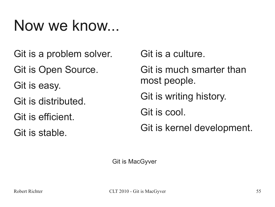## Now we know...

Git is a problem solver.

Git is Open Source.

Git is easy.

Git is distributed.

Git is efficient.

Git is stable.

Git is a culture.

Git is much smarter than most people.

Git is writing history.

Git is cool.

Git is kernel development.

Git is MacGyver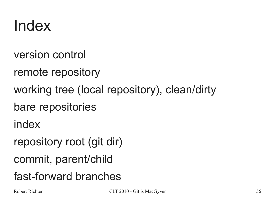## Index

- version control
- remote repository
- working tree (local repository), clean/dirty
- bare repositories
- index
- repository root (git dir)
- commit, parent/child
- fast-forward branches